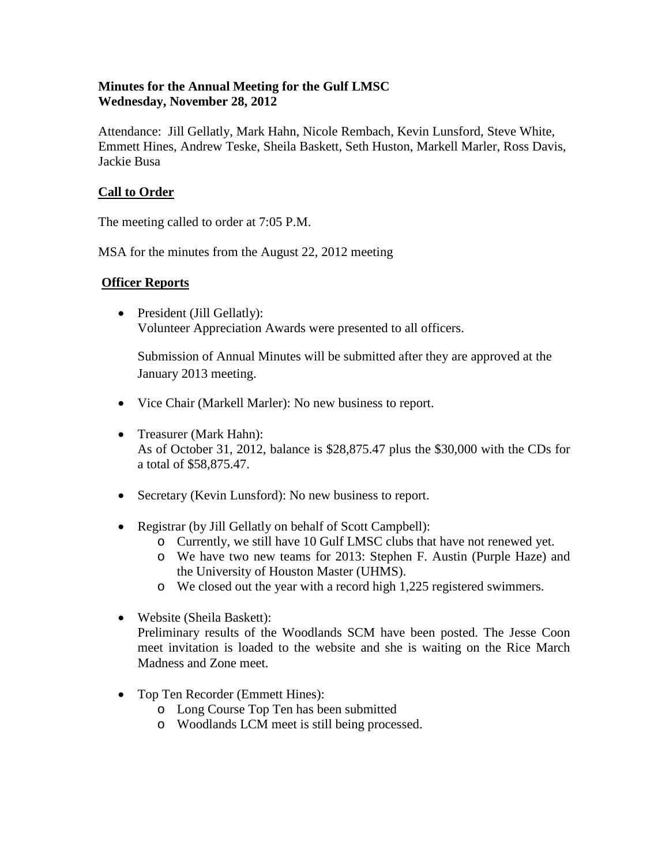### **Minutes for the Annual Meeting for the Gulf LMSC Wednesday, November 28, 2012**

Attendance: Jill Gellatly, Mark Hahn, Nicole Rembach, Kevin Lunsford, Steve White, Emmett Hines, Andrew Teske, Sheila Baskett, Seth Huston, Markell Marler, Ross Davis, Jackie Busa

# **Call to Order**

The meeting called to order at 7:05 P.M.

MSA for the minutes from the August 22, 2012 meeting

### **Officer Reports**

• President (Jill Gellatly): Volunteer Appreciation Awards were presented to all officers.

Submission of Annual Minutes will be submitted after they are approved at the January 2013 meeting.

- Vice Chair (Markell Marler): No new business to report.
- Treasurer (Mark Hahn): As of October 31, 2012, balance is \$28,875.47 plus the \$30,000 with the CDs for a total of \$58,875.47.
- Secretary (Kevin Lunsford): No new business to report.
- Registrar (by Jill Gellatly on behalf of Scott Campbell):
	- o Currently, we still have 10 Gulf LMSC clubs that have not renewed yet.
	- o We have two new teams for 2013: Stephen F. Austin (Purple Haze) and the University of Houston Master (UHMS).
	- o We closed out the year with a record high 1,225 registered swimmers.
- Website (Sheila Baskett): Preliminary results of the Woodlands SCM have been posted. The Jesse Coon meet invitation is loaded to the website and she is waiting on the Rice March Madness and Zone meet.
- Top Ten Recorder (Emmett Hines):
	- o Long Course Top Ten has been submitted
	- o Woodlands LCM meet is still being processed.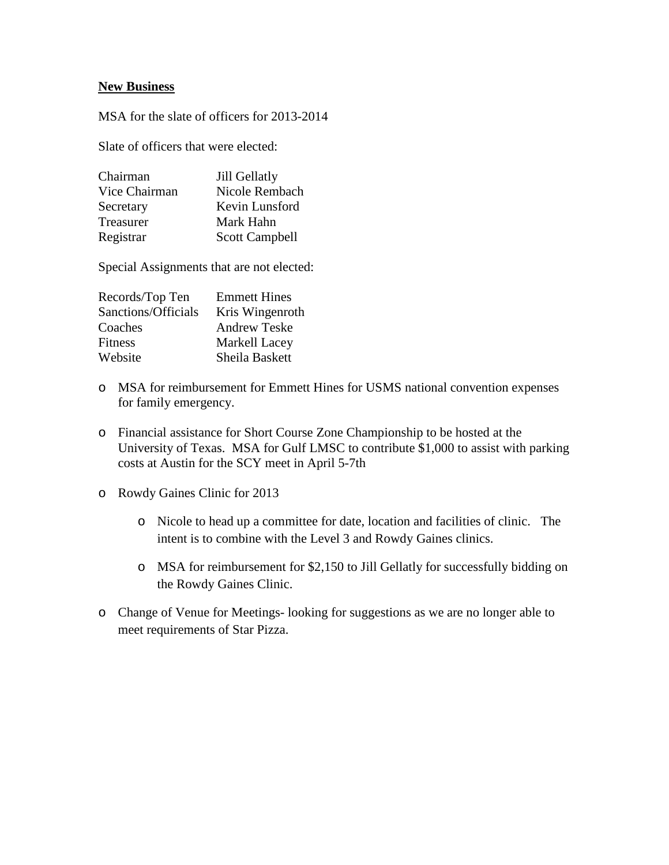#### **New Business**

MSA for the slate of officers for 2013-2014

Slate of officers that were elected:

| Chairman      | Jill Gellatly         |
|---------------|-----------------------|
| Vice Chairman | Nicole Rembach        |
| Secretary     | Kevin Lunsford        |
| Treasurer     | Mark Hahn             |
| Registrar     | <b>Scott Campbell</b> |

Special Assignments that are not elected:

| <b>Emmett Hines</b> |
|---------------------|
| Kris Wingenroth     |
| <b>Andrew Teske</b> |
| Markell Lacey       |
| Sheila Baskett      |
|                     |

- o MSA for reimbursement for Emmett Hines for USMS national convention expenses for family emergency.
- o Financial assistance for Short Course Zone Championship to be hosted at the University of Texas. MSA for Gulf LMSC to contribute \$1,000 to assist with parking costs at Austin for the SCY meet in April 5-7th
- o Rowdy Gaines Clinic for 2013
	- o Nicole to head up a committee for date, location and facilities of clinic. The intent is to combine with the Level 3 and Rowdy Gaines clinics.
	- o MSA for reimbursement for \$2,150 to Jill Gellatly for successfully bidding on the Rowdy Gaines Clinic.
- o Change of Venue for Meetings- looking for suggestions as we are no longer able to meet requirements of Star Pizza.